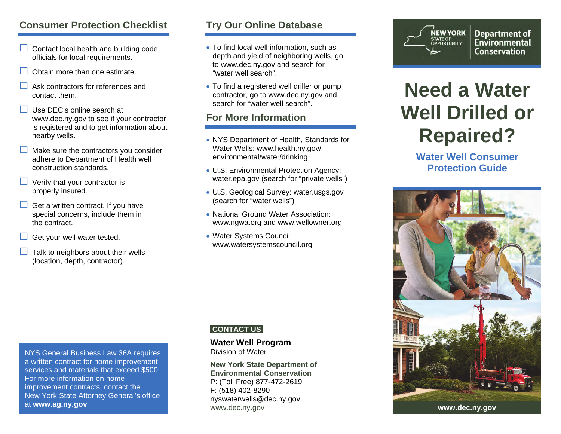# **Consumer Protection Checklist**

- $\Box$  Contact local health and building code officials for local requirements.
- $\Box$ Obtain more than one estimate.
- $\Box$  Ask contractors for references and contact them.
- $\Box$  Use DEC's online search at www.dec.ny.gov to see if your contractor is registered and to get information about nearby wells.
- $\Box$  Make sure the contractors you consider adhere to Department of Health well construction standards.
- $\Box$  Verify that your contractor is properly insured.
- $\Box$  Get a written contract. If you have special concerns, include them in the contract.
- $\Box$ Get your well water tested.
- $\Box$  Talk to neighbors about their wells (location, depth, contractor).

# **Try Our Online Database**

- To find local well information, such as depth and yield of neighboring wells, go to www.dec.ny.gov and search for "water well search".
- To find a registered well driller or pump contractor, go to www.dec.ny.gov and search for "water well search".

# **For More Information**

- NYS Department of Health, Standards for Water Wells: www.health.ny.gov/ environmental/water/drinking
- U.S. Environmental Protection Agency: water.epa.gov (search for "private wells")
- U.S. Geological Survey: water.usgs.gov (search for "water wells")
- National Ground Water Association: www.ngwa.org and www.wellowner.org
- Water Systems Council: www.watersystemscouncil.org

### **CONTACT US**

# **Water Well Program**

**New York State Department of Environmental Conservation**P: (Toll Free) 877-472-2619 F: (518) 402-8290 nyswaterwells@dec.ny.gov www.dec.ny.gov **www.dec.ny.gov** 



**Department of Environmental Conservation** 

# **Need a Water Well Drilled or Repaired?**

**Water Well Consumer Protection Guide** 



NYS General Business Law 36A requires a written contract for home improvement services and materials that exceed \$500. For more information on home improvement contracts, contact the New York State Attorney General's office at **www.ag.ny.gov**

Division of Water